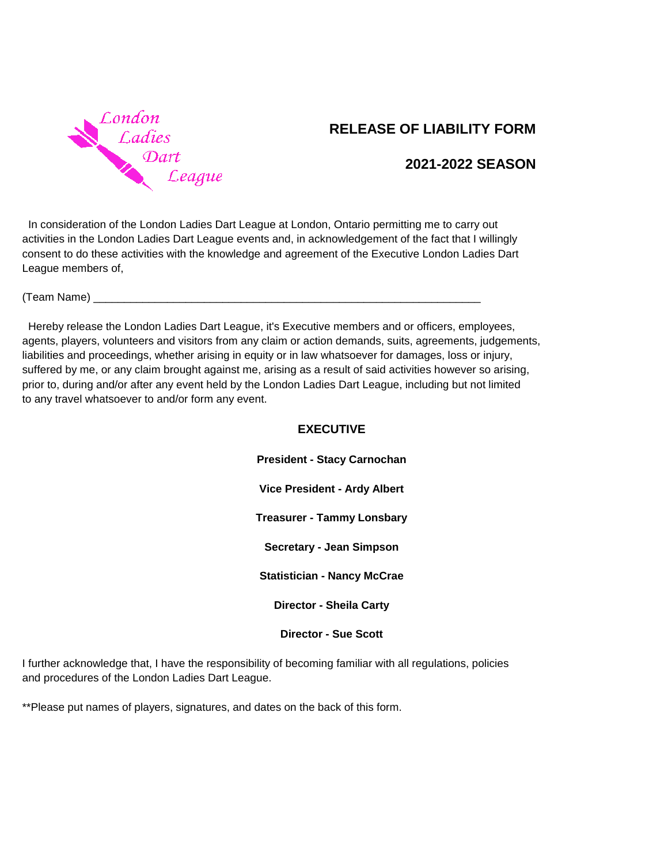

## **RELEASE OF LIABILITY FORM**

## **2021-2022 SEASON**

 In consideration of the London Ladies Dart League at London, Ontario permitting me to carry out activities in the London Ladies Dart League events and, in acknowledgement of the fact that I willingly consent to do these activities with the knowledge and agreement of the Executive London Ladies Dart League members of,

 $(Team Name)$ 

 Hereby release the London Ladies Dart League, it's Executive members and or officers, employees, agents, players, volunteers and visitors from any claim or action demands, suits, agreements, judgements, liabilities and proceedings, whether arising in equity or in law whatsoever for damages, loss or injury, suffered by me, or any claim brought against me, arising as a result of said activities however so arising, prior to, during and/or after any event held by the London Ladies Dart League, including but not limited to any travel whatsoever to and/or form any event.

## **EXECUTIVE**

**President - Stacy Carnochan Vice President - Ardy Albert Treasurer - Tammy Lonsbary Secretary - Jean Simpson Statistician - Nancy McCrae Director - Sheila Carty**

**Director - Sue Scott**

I further acknowledge that, I have the responsibility of becoming familiar with all regulations, policies and procedures of the London Ladies Dart League.

\*\*Please put names of players, signatures, and dates on the back of this form.